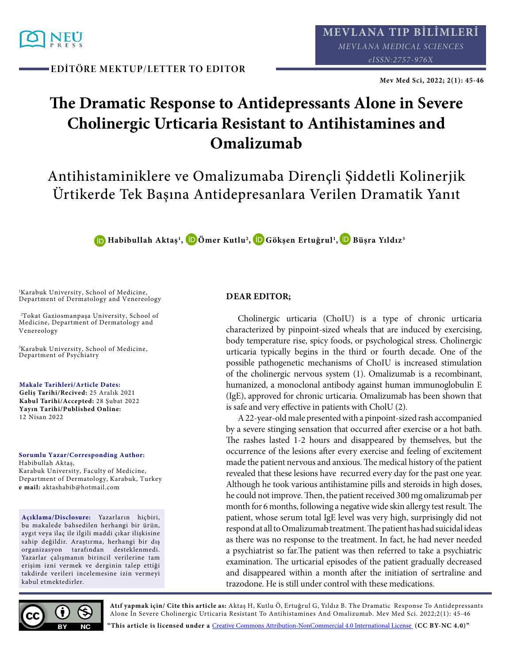

**EDİTÖRE MEKTUP/LETTER TO EDITOR**

**Mev Med Sci, 2022; 2(1): 45-46**

## **The Dramatic Response to Antidepressants Alone in Severe Cholinergic Urticaria Resistant to Antihistamines and Omalizumab**

Antihistaminiklere ve Omalizumaba Dirençli Şiddetli Kolinerjik Ürtikerde Tek Başına Antidepresanlara Verilen Dramatik Yanıt

**[H](http://orcid.org/0000-0001-9239-1659)abibullah Aktaş1 , [Ö](http://orcid.org/0000-0002-9665-015x)mer Kutlu2 [, G](http://orcid.org/0000-0002-5167-4780)ökşen Ertuğrul1 [, B](http://orcid.org/0000-0001-7982-4245)üşra Yıldız3**

<sup>1</sup>Karabuk University, School of Medicine, Department of Dermatology and Venereology

<sup>2</sup>Tokat Gaziosmanpaşa University, School of Medicine, Department of Dermatology and Venereology

<sup>3</sup>Karabuk University, School of Medicine, Department of Psychiatry

**Makale Tarihleri/Article Dates:**

**Geliş Tarihi/Recived:** 25 Aralık 2021 **Kabul Tarihi/Accepted:** 28 Şubat 2022 **Yayın Tarihi/Published Online:**  12 Nisan 2022

**Sorumlu Yazar/Corresponding Author:** Habibullah Aktaş, Karabuk University, Faculty of Medicine, Department of Dermatology, Karabuk, Turkey **e mail:** aktashabib@hotmail.com

**Açıklama/Disclosure:** Yazarların hiçbiri, bu makalede bahsedilen herhangi bir ürün, aygıt veya ilaç ile ilgili maddi çıkar ilişkisine sahip değildir. Araştırma, herhangi bir dış organizasyon tarafından desteklenmedi. Yazarlar çalışmanın birincil verilerine tam erişim izni vermek ve derginin talep ettiği takdirde verileri incelemesine izin vermeyi kabul etmektedirler.

## **DEAR EDITOR;**

Cholinergic urticaria (ChoIU) is a type of chronic urticaria characterized by pinpoint-sized wheals that are induced by exercising, body temperature rise, spicy foods, or psychological stress. Cholinergic urticaria typically begins in the third or fourth decade. One of the possible pathogenetic mechanisms of ChoIU is increased stimulation of the cholinergic nervous system (1). Omalizumab is a recombinant, humanized, a monoclonal antibody against human immunoglobulin E (IgE), approved for chronic urticaria. Omalizumab has been shown that is safe and very effective in patients with CholU (2).

A 22-year-old male presented with a pinpoint-sized rash accompanied by a severe stinging sensation that occurred after exercise or a hot bath. The rashes lasted 1-2 hours and disappeared by themselves, but the occurrence of the lesions after every exercise and feeling of excitement made the patient nervous and anxious. The medical history of the patient revealed that these lesions have recurred every day for the past one year. Although he took various antihistamine pills and steroids in high doses, he could not improve. Then, the patient received 300 mg omalizumab per month for 6 months, following a negative wide skin allergy test result. The patient, whose serum total IgE level was very high, surprisingly did not respond at all to Omalizumab treatment. The patient has had suicidal ideas as there was no response to the treatment. In fact, he had never needed a psychiatrist so far.The patient was then referred to take a psychiatric examination. The urticarial episodes of the patient gradually decreased and disappeared within a month after the initiation of sertraline and trazodone. He is still under control with these medications.



**Atıf yapmak için/ Cite this article as:** Aktaş H, Kutlu Ö, Ertuğrul G, Yıldız B. The Dramatic Response To Antidepressants Alone İn Severe Cholinergic Urticaria Resistant To Antihistamines And Omalizumab. Mev Med Sci. 2022;2(1): 45-46

**"This article is licensed under a** [Creative Commons Attribution-NonCommercial 4.0 International License](https://creativecommons.org/licenses/by-nc/4.0/) **(CC BY-NC 4.0)"**